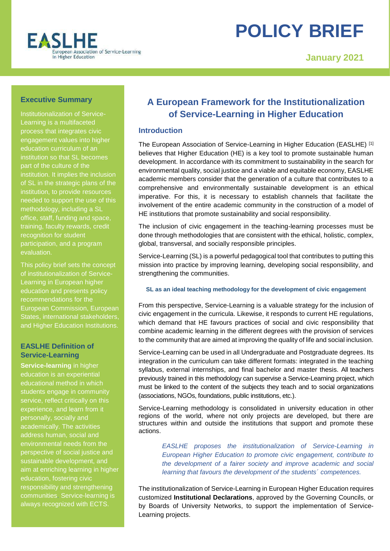

# **POLICY BRIEF**

**January 2021**

# **Executive Summary**

Institutionalization of Service-Learning is a multifaceted process that integrates civic engagement values into higher education curriculum of an institution so that SL becomes part of the culture of the institution. It implies the inclusion of SL in the strategic plans of the institution, to provide resources needed to support the use of this methodology, including a SL office, staff, funding and space, training, faculty rewards, credit recognition for student participation, and a program evaluation.

This policy brief sets the concept of institutionalization of Service-Learning in European higher education and presents policy recommendations for the European Commission, European States, international stakeholders, and Higher Education Institutions.

# **EASLHE Definition of Service-Learning**

**Service-learning** in higher education is an experiential educational method in which students engage in community service, reflect critically on this experience, and learn from it personally, socially and academically. The activities address human, social and environmental needs from the perspective of social justice and sustainable development, and aim at enriching learning in higher education, fostering civic responsibility and strengthening communities. Service-learning is always recognized with ECTS.

# **A European Framework for the Institutionalization of Service-Learning in Higher Education**

# **Introduction**

The European Association of Service-Learning in Higher Education (EASLHE) [1] believes that Higher Education (HE) is a key tool to promote sustainable human development. In accordance with its commitment to sustainability in the search for environmental quality, social justice and a viable and equitable economy, EASLHE academic members consider that the generation of a culture that contributes to a comprehensive and environmentally sustainable development is an ethical imperative. For this, it is necessary to establish channels that facilitate the involvement of the entire academic community in the construction of a model of HE institutions that promote sustainability and social responsibility.

The inclusion of civic engagement in the teaching-learning processes must be done through methodologies that are consistent with the ethical, holistic, complex, global, transversal, and socially responsible principles.

Service-Learning (SL) is a powerful pedagogical tool that contributes to putting this mission into practice by improving learning, developing social responsibility, and strengthening the communities.

#### **SL as an ideal teaching methodology for the development of civic engagement**

From this perspective, Service-Learning is a valuable strategy for the inclusion of civic engagement in the curricula. Likewise, it responds to current HE regulations, which demand that HE favours practices of social and civic responsibility that combine academic learning in the different degrees with the provision of services to the community that are aimed at improving the quality of life and social inclusion.

Service-Learning can be used in all Undergraduate and Postgraduate degrees. Its integration in the curriculum can take different formats: integrated in the teaching syllabus, external internships, and final bachelor and master thesis. All teachers previously trained in this methodology can supervise a Service-Learning project, which must be linked to the content of the subjects they teach and to social organizations (associations, NGOs, foundations, public institutions, etc.).

Service-Learning methodology is consolidated in university education in other regions of the world, where not only projects are developed, but there are structures within and outside the institutions that support and promote these actions.

*EASLHE proposes the institutionalization of Service-Learning in European Higher Education to promote civic engagement, contribute to the development of a fairer society and improve academic and social learning that favours the development of the students´ competences.*

The institutionalization of Service-Learning in European Higher Education requires customized **Institutional Declarations**, approved by the Governing Councils, or by Boards of University Networks, to support the implementation of Service-Learning projects.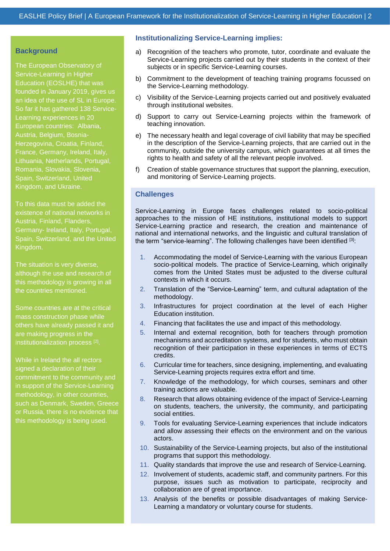#### **Background**

The European Observatory of Service-Learning in Higher Education (EOSLHE) that was founded in January 2019, gives us an idea of the use of SL in Europe. So far it has gathered 138 Service-Learning experiences in 20 European countries: Albania, Austria, Belgium, Bosnia-Herzegovina, Croatia, Finland, France, Germany, Ireland, Italy, Lithuania, Netherlands, Portugal, Romania, Slovakia, Slovenia, Spain, Switzerland, United Kingdom, and Ukraine.

To this data must be added the existence of national networks in Austria, Finland, Flanders, Germany- Ireland, Italy, Portugal, Spain, Switzerland, and the United Kingdom.

The situation is very diverse, although the use and research of this methodology is growing in all the countries mentioned.

Some countries are at the critical mass construction phase while others have already passed it and are making progress in the institutionalization process<sup>[2]</sup>.

While in Ireland the all rectors signed a declaration of their commitment to the community and in support of the Service-Learning methodology, in other countries, such as Denmark, Sweden, Greece or Russia, there is no evidence that this methodology is being used.

#### **Institutionalizing Service-Learning implies:**

- a) Recognition of the teachers who promote, tutor, coordinate and evaluate the Service-Learning projects carried out by their students in the context of their subjects or in specific Service-Learning courses.
- b) Commitment to the development of teaching training programs focussed on the Service-Learning methodology.
- c) Visibility of the Service-Learning projects carried out and positively evaluated through institutional websites.
- d) Support to carry out Service-Learning projects within the framework of teaching innovation.
- e) The necessary health and legal coverage of civil liability that may be specified in the description of the Service-Learning projects, that are carried out in the community, outside the university campus, which guarantees at all times the rights to health and safety of all the relevant people involved.
- f) Creation of stable governance structures that support the planning, execution, and monitoring of Service-Learning projects.

#### **Challenges**

Service-Learning in Europe faces challenges related to socio-political approaches to the mission of HE institutions, institutional models to support Service-Learning practice and research, the creation and maintenance of national and international networks, and the linguistic and cultural translation of the term "service-learning". The following challenges have been identified [3]:

- 1. Accommodating the model of Service-Learning with the various European socio-political models. The practice of Service-Learning, which originally comes from the United States must be adjusted to the diverse cultural contexts in which it occurs.
- 2. Translation of the "Service-Learning" term, and cultural adaptation of the methodology.
- 3. Infrastructures for project coordination at the level of each Higher Education institution.
- 4. Financing that facilitates the use and impact of this methodology.
- 5. Internal and external recognition, both for teachers through promotion mechanisms and accreditation systems, and for students, who must obtain recognition of their participation in these experiences in terms of ECTS credits.
- 6. Curricular time for teachers, since designing, implementing, and evaluating Service-Learning projects requires extra effort and time.
- 7. Knowledge of the methodology, for which courses, seminars and other training actions are valuable.
- 8. Research that allows obtaining evidence of the impact of Service-Learning on students, teachers, the university, the community, and participating social entities.
- 9. Tools for evaluating Service-Learning experiences that include indicators and allow assessing their effects on the environment and on the various actors.
- 10. Sustainability of the Service-Learning projects, but also of the institutional programs that support this methodology.
- 11. Quality standards that improve the use and research of Service-Learning.
- 12. Involvement of students, academic staff, and community partners. For this purpose, issues such as motivation to participate, reciprocity and collaboration are of great importance.
- 13. Analysis of the benefits or possible disadvantages of making Service-Learning a mandatory or voluntary course for students.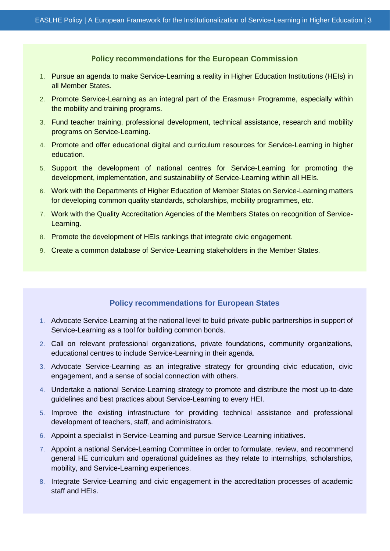#### **Policy recommendations for the European Commission**

- 1. Pursue an agenda to make Service-Learning a reality in Higher Education Institutions (HEIs) in all Member States.
- 2. Promote Service-Learning as an integral part of the Erasmus+ Programme, especially within the mobility and training programs.
- 3. Fund teacher training, professional development, technical assistance, research and mobility programs on Service-Learning.
- 4. Promote and offer educational digital and curriculum resources for Service-Learning in higher education.
- 5. Support the development of national centres for Service-Learning for promoting the development, implementation, and sustainability of Service-Learning within all HEIs.
- 6. Work with the Departments of Higher Education of Member States on Service-Learning matters for developing common quality standards, scholarships, mobility programmes, etc.
- 7. Work with the Quality Accreditation Agencies of the Members States on recognition of Service-Learning.
- 8. Promote the development of HEIs rankings that integrate civic engagement.
- 9. Create a common database of Service-Learning stakeholders in the Member States.

### **Policy recommendations for European States**

- 1. Advocate Service-Learning at the national level to build private-public partnerships in support of Service-Learning as a tool for building common bonds.
- 2. Call on relevant professional organizations, private foundations, community organizations, educational centres to include Service-Learning in their agenda.
- 3. Advocate Service-Learning as an integrative strategy for grounding civic education, civic engagement, and a sense of social connection with others.
- 4. Undertake a national Service-Learning strategy to promote and distribute the most up-to-date guidelines and best practices about Service-Learning to every HEI.
- 5. Improve the existing infrastructure for providing technical assistance and professional development of teachers, staff, and administrators.
- 6. Appoint a specialist in Service-Learning and pursue Service-Learning initiatives.
- 7. Appoint a national Service-Learning Committee in order to formulate, review, and recommend general HE curriculum and operational guidelines as they relate to internships, scholarships, mobility, and Service-Learning experiences.
- 8. Integrate Service-Learning and civic engagement in the accreditation processes of academic staff and HEIs.